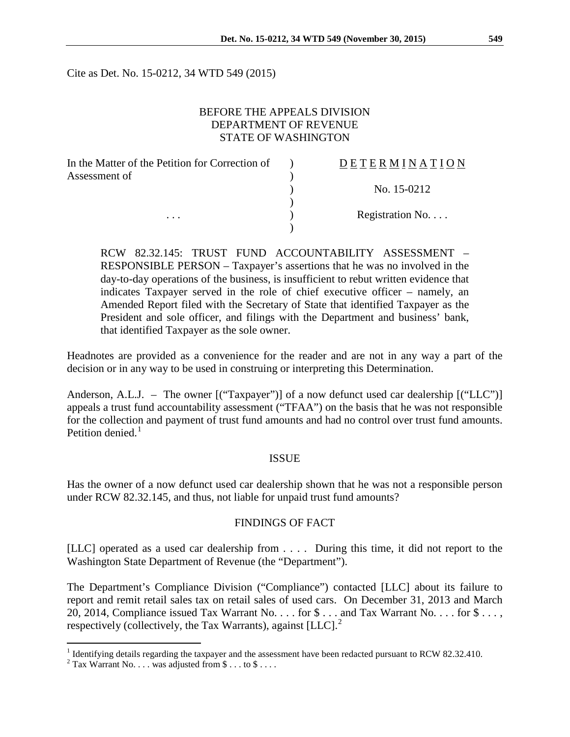Cite as Det. No. 15-0212, 34 WTD 549 (2015)

## BEFORE THE APPEALS DIVISION DEPARTMENT OF REVENUE STATE OF WASHINGTON

| In the Matter of the Petition for Correction of | <b>DETERMINATION</b> |
|-------------------------------------------------|----------------------|
| Assessment of<br>.                              |                      |
|                                                 | No. 15-0212          |
|                                                 |                      |
|                                                 | Registration No      |
|                                                 |                      |

RCW 82.32.145: TRUST FUND ACCOUNTABILITY ASSESSMENT – RESPONSIBLE PERSON – Taxpayer's assertions that he was no involved in the day-to-day operations of the business, is insufficient to rebut written evidence that indicates Taxpayer served in the role of chief executive officer – namely, an Amended Report filed with the Secretary of State that identified Taxpayer as the President and sole officer, and filings with the Department and business' bank, that identified Taxpayer as the sole owner.

Headnotes are provided as a convenience for the reader and are not in any way a part of the decision or in any way to be used in construing or interpreting this Determination.

Anderson, A.L.J. – The owner [("Taxpayer")] of a now defunct used car dealership [("LLC")] appeals a trust fund accountability assessment ("TFAA") on the basis that he was not responsible for the collection and payment of trust fund amounts and had no control over trust fund amounts. Petition denied $<sup>1</sup>$  $<sup>1</sup>$  $<sup>1</sup>$ </sup>

#### ISSUE

Has the owner of a now defunct used car dealership shown that he was not a responsible person under RCW 82.32.145, and thus, not liable for unpaid trust fund amounts?

## FINDINGS OF FACT

[LLC] operated as a used car dealership from . . . . During this time, it did not report to the Washington State Department of Revenue (the "Department").

The Department's Compliance Division ("Compliance") contacted [LLC] about its failure to report and remit retail sales tax on retail sales of used cars. On December 31, 2013 and March 20, 2014, Compliance issued Tax Warrant No. . . . for \$ . . . and Tax Warrant No. . . . for \$ . . . , respectively (collectively, the Tax Warrants), against  $[LLC]$ .<sup>[2](#page-0-1)</sup>

<span id="page-0-0"></span><sup>&</sup>lt;sup>1</sup> Identifying details regarding the taxpayer and the assessment have been redacted pursuant to RCW 82.32.410.

<span id="page-0-1"></span> $2$  Tax Warrant No. . . . was adjusted from \$ . . . to \$ . . . .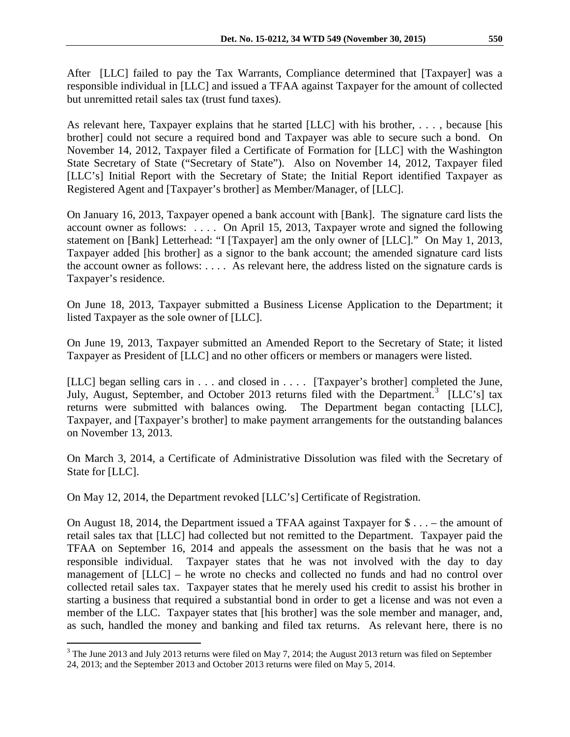After [LLC] failed to pay the Tax Warrants, Compliance determined that [Taxpayer] was a responsible individual in [LLC] and issued a TFAA against Taxpayer for the amount of collected but unremitted retail sales tax (trust fund taxes).

As relevant here, Taxpayer explains that he started [LLC] with his brother, . . . , because [his brother] could not secure a required bond and Taxpayer was able to secure such a bond. On November 14, 2012, Taxpayer filed a Certificate of Formation for [LLC] with the Washington State Secretary of State ("Secretary of State"). Also on November 14, 2012, Taxpayer filed [LLC's] Initial Report with the Secretary of State; the Initial Report identified Taxpayer as Registered Agent and [Taxpayer's brother] as Member/Manager, of [LLC].

On January 16, 2013, Taxpayer opened a bank account with [Bank]. The signature card lists the account owner as follows: . . . . On April 15, 2013, Taxpayer wrote and signed the following statement on [Bank] Letterhead: "I [Taxpayer] am the only owner of [LLC]." On May 1, 2013, Taxpayer added [his brother] as a signor to the bank account; the amended signature card lists the account owner as follows: . . . . As relevant here, the address listed on the signature cards is Taxpayer's residence.

On June 18, 2013, Taxpayer submitted a Business License Application to the Department; it listed Taxpayer as the sole owner of [LLC].

On June 19, 2013, Taxpayer submitted an Amended Report to the Secretary of State; it listed Taxpayer as President of [LLC] and no other officers or members or managers were listed.

[LLC] began selling cars in . . . and closed in . . . . [Taxpayer's brother] completed the June, July, August, September, and October 201[3](#page-1-0) returns filed with the Department.<sup>3</sup> [LLC's] tax returns were submitted with balances owing. The Department began contacting [LLC], Taxpayer, and [Taxpayer's brother] to make payment arrangements for the outstanding balances on November 13, 2013.

On March 3, 2014, a Certificate of Administrative Dissolution was filed with the Secretary of State for [LLC].

On May 12, 2014, the Department revoked [LLC's] Certificate of Registration.

On August 18, 2014, the Department issued a TFAA against Taxpayer for \$ . . . – the amount of retail sales tax that [LLC] had collected but not remitted to the Department. Taxpayer paid the TFAA on September 16, 2014 and appeals the assessment on the basis that he was not a responsible individual. Taxpayer states that he was not involved with the day to day management of [LLC] – he wrote no checks and collected no funds and had no control over collected retail sales tax. Taxpayer states that he merely used his credit to assist his brother in starting a business that required a substantial bond in order to get a license and was not even a member of the LLC. Taxpayer states that [his brother] was the sole member and manager, and, as such, handled the money and banking and filed tax returns. As relevant here, there is no

<span id="page-1-0"></span><sup>&</sup>lt;sup>3</sup> The June 2013 and July 2013 returns were filed on May 7, 2014; the August 2013 return was filed on September 24, 2013; and the September 2013 and October 2013 returns were filed on May 5, 2014.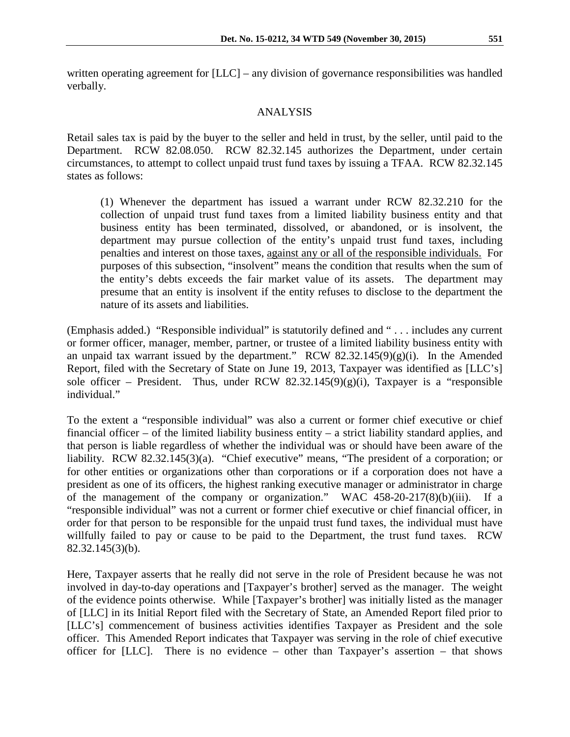written operating agreement for [LLC] – any division of governance responsibilities was handled verbally.

#### ANALYSIS

Retail sales tax is paid by the buyer to the seller and held in trust, by the seller, until paid to the Department. RCW 82.08.050. RCW 82.32.145 authorizes the Department, under certain circumstances, to attempt to collect unpaid trust fund taxes by issuing a TFAA. RCW 82.32.145 states as follows:

(1) Whenever the department has issued a warrant under RCW 82.32.210 for the collection of unpaid trust fund taxes from a limited liability business entity and that business entity has been terminated, dissolved, or abandoned, or is insolvent, the department may pursue collection of the entity's unpaid trust fund taxes, including penalties and interest on those taxes, against any or all of the responsible individuals. For purposes of this subsection, "insolvent" means the condition that results when the sum of the entity's debts exceeds the fair market value of its assets. The department may presume that an entity is insolvent if the entity refuses to disclose to the department the nature of its assets and liabilities.

(Emphasis added.) "Responsible individual" is statutorily defined and " . . . includes any current or former officer, manager, member, partner, or trustee of a limited liability business entity with an unpaid tax warrant issued by the department." RCW  $82.32.145(9)(g)(i)$ . In the Amended Report, filed with the Secretary of State on June 19, 2013, Taxpayer was identified as [LLC's] sole officer – President. Thus, under RCW 82.32.145(9)(g)(i), Taxpayer is a "responsible individual."

To the extent a "responsible individual" was also a current or former chief executive or chief financial officer – of the limited liability business entity – a strict liability standard applies, and that person is liable regardless of whether the individual was or should have been aware of the liability. RCW 82.32.145(3)(a). "Chief executive" means, "The president of a corporation; or for other entities or organizations other than corporations or if a corporation does not have a president as one of its officers, the highest ranking executive manager or administrator in charge of the management of the company or organization." WAC 458-20-217(8)(b)(iii). If a "responsible individual" was not a current or former chief executive or chief financial officer, in order for that person to be responsible for the unpaid trust fund taxes, the individual must have willfully failed to pay or cause to be paid to the Department, the trust fund taxes. RCW 82.32.145(3)(b).

Here, Taxpayer asserts that he really did not serve in the role of President because he was not involved in day-to-day operations and [Taxpayer's brother] served as the manager. The weight of the evidence points otherwise. While [Taxpayer's brother] was initially listed as the manager of [LLC] in its Initial Report filed with the Secretary of State, an Amended Report filed prior to [LLC's] commencement of business activities identifies Taxpayer as President and the sole officer. This Amended Report indicates that Taxpayer was serving in the role of chief executive officer for [LLC]. There is no evidence – other than Taxpayer's assertion – that shows